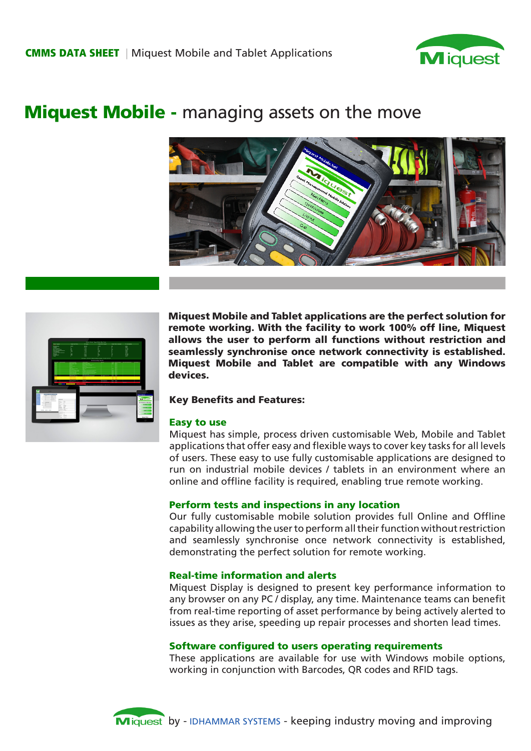

# **Miquest Mobile -** managing assets on the move





Miquest Mobile and Tablet applications are the perfect solution for remote working. With the facility to work 100% off line, Miquest allows the user to perform all functions without restriction and seamlessly synchronise once network connectivity is established. Miquest Mobile and Tablet are compatible with any Windows devices.

## Key Benefits and Features:

## Easy to use

Miquest has simple, process driven customisable Web, Mobile and Tablet applications that offer easy and flexible ways to cover key tasks for all levels of users. These easy to use fully customisable applications are designed to run on industrial mobile devices / tablets in an environment where an online and offline facility is required, enabling true remote working.

## Perform tests and inspections in any location

Our fully customisable mobile solution provides full Online and Offline capability allowing the user to perform all their function without restriction and seamlessly synchronise once network connectivity is established, demonstrating the perfect solution for remote working.

## Real-time information and alerts

Miquest Display is designed to present key performance information to any browser on any PC / display, any time. Maintenance teams can benefit from real-time reporting of asset performance by being actively alerted to issues as they arise, speeding up repair processes and shorten lead times.

## Software configured to users operating requirements

These applications are available for use with Windows mobile options, working in conjunction with Barcodes, QR codes and RFID tags.